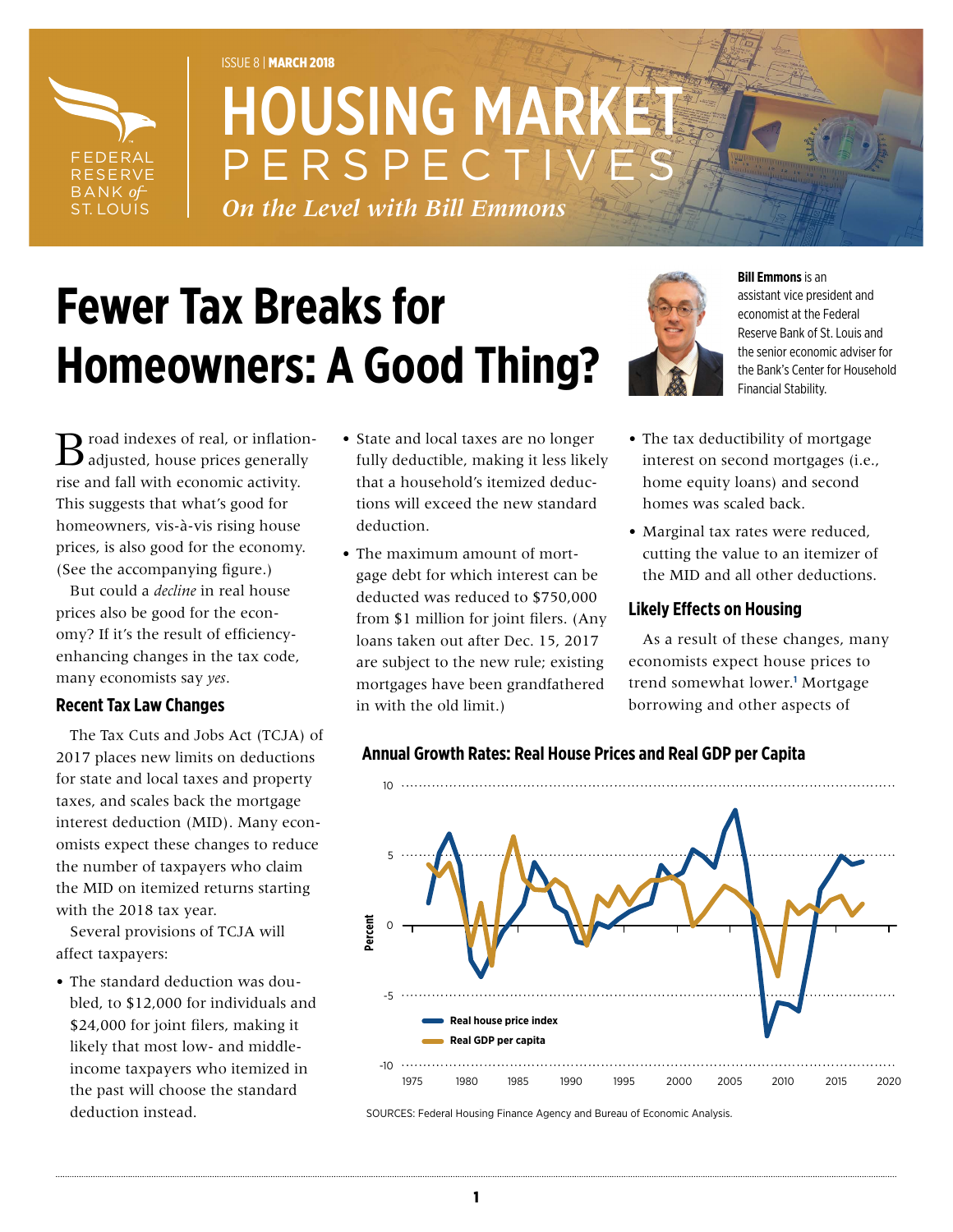

## ISSUE 8 | MARCH 2018 **HOUSING MARK** PERSPECT

*On the Level with Bill Emmons*

# **Fewer Tax Breaks for Homeowners: A Good Thing?**



**Bill Emmons** is an

assistant vice president and economist at the Federal Reserve Bank of St. Louis and the senior economic adviser for the Bank's Center for Household Financial Stability.

Troad indexes of real, or inflation- $\boldsymbol{\mathcal{S}}$  adjusted, house prices generally rise and fall with economic activity. This suggests that what's good for homeowners, vis-à-vis rising house prices, is also good for the economy. (See the accompanying figure.)

But could a *decline* in real house prices also be good for the economy? If it's the result of efficiencyenhancing changes in the tax code, many economists say *yes*.

### **Recent Tax Law Changes**

The Tax Cuts and Jobs Act (TCJA) of 2017 places new limits on deductions for state and local taxes and property taxes, and scales back the mortgage interest deduction (MID). Many economists expect these changes to reduce the number of taxpayers who claim the MID on itemized returns starting with the 2018 tax year.

Several provisions of TCJA will affect taxpayers:

• The standard deduction was doubled, to \$12,000 for individuals and \$24,000 for joint filers, making it likely that most low- and middleincome taxpayers who itemized in the past will choose the standard deduction instead.

- State and local taxes are no longer fully deductible, making it less likely that a household's itemized deductions will exceed the new standard deduction.
- The maximum amount of mortgage debt for which interest can be deducted was reduced to \$750,000 from \$1 million for joint filers. (Any loans taken out after Dec. 15, 2017 are subject to the new rule; existing mortgages have been grandfathered in with the old limit.)
- The tax deductibility of mortgage interest on second mortgages (i.e., home equity loans) and second homes was scaled back.
- Marginal tax rates were reduced, cutting the value to an itemizer of the MID and all other deductions.

### **Likely Effects on Housing**

As a result of these changes, many economists expect house prices to trend somewhat lower.**<sup>1</sup>** Mortgage borrowing and other aspects of



### **Annual Growth Rates: Real House Prices and Real GDP per Capita**

SOURCES: Federal Housing Finance Agency and Bureau of Economic Analysis.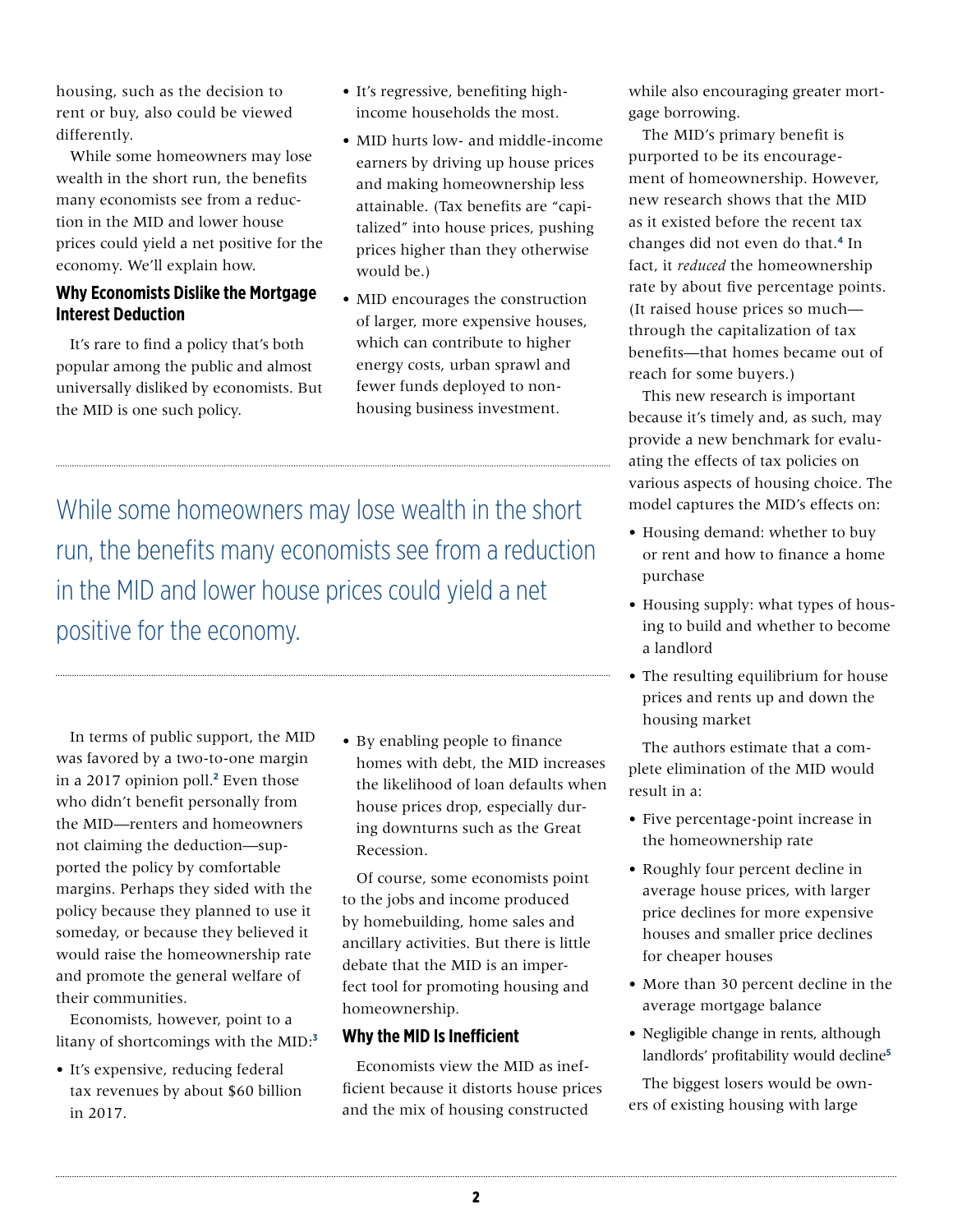housing, such as the decision to rent or buy, also could be viewed differently.

While some homeowners may lose wealth in the short run, the benefits many economists see from a reduction in the MID and lower house prices could yield a net positive for the economy. We'll explain how.

#### **Why Economists Dislike the Mortgage Interest Deduction**

It's rare to find a policy that's both popular among the public and almost universally disliked by economists. But the MID is one such policy.

- It's regressive, benefiting highincome households the most.
- MID hurts low- and middle-income earners by driving up house prices and making homeownership less attainable. (Tax benefits are "capitalized" into house prices, pushing prices higher than they otherwise would be.)
- MID encourages the construction of larger, more expensive houses, which can contribute to higher energy costs, urban sprawl and fewer funds deployed to nonhousing business investment.

While some homeowners may lose wealth in the short run, the benefits many economists see from a reduction in the MID and lower house prices could yield a net positive for the economy.

In terms of public support, the MID was favored by a two-to-one margin in a 2017 opinion poll.**<sup>2</sup>** Even those who didn't benefit personally from the MID—renters and homeowners not claiming the deduction—supported the policy by comfortable margins. Perhaps they sided with the policy because they planned to use it someday, or because they believed it would raise the homeownership rate and promote the general welfare of their communities.

Economists, however, point to a litany of shortcomings with the MID:**<sup>3</sup>**

• It's expensive, reducing federal tax revenues by about \$60 billion in 2017.

• By enabling people to finance homes with debt, the MID increases the likelihood of loan defaults when house prices drop, especially during downturns such as the Great Recession.

Of course, some economists point to the jobs and income produced by homebuilding, home sales and ancillary activities. But there is little debate that the MID is an imperfect tool for promoting housing and homeownership.

#### **Why the MID Is Inefficient**

Economists view the MID as inefficient because it distorts house prices and the mix of housing constructed

while also encouraging greater mortgage borrowing.

The MID's primary benefit is purported to be its encouragement of homeownership. However, new research shows that the MID as it existed before the recent tax changes did not even do that.**4** In fact, it *reduced* the homeownership rate by about five percentage points. (It raised house prices so much through the capitalization of tax benefits—that homes became out of reach for some buyers.)

This new research is important because it's timely and, as such, may provide a new benchmark for evaluating the effects of tax policies on various aspects of housing choice. The model captures the MID's effects on:

- Housing demand: whether to buy or rent and how to finance a home purchase
- Housing supply: what types of housing to build and whether to become a landlord
- The resulting equilibrium for house prices and rents up and down the housing market

The authors estimate that a complete elimination of the MID would result in a:

- Five percentage-point increase in the homeownership rate
- Roughly four percent decline in average house prices, with larger price declines for more expensive houses and smaller price declines for cheaper houses
- More than 30 percent decline in the average mortgage balance
- Negligible change in rents, although landlords' profitability would decline**<sup>5</sup>**

The biggest losers would be owners of existing housing with large